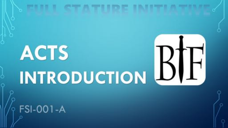# ACIS INTRODUCTION BIFI **FSI-001-A**

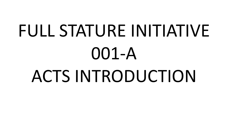# FULL STATURE INITIATIVE 001-A ACTS INTRODUCTION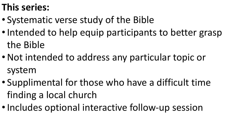# **This series:**

- Systematic verse study of the Bible
- Intended to help equip participants to better grasp the Bible
- •Not intended to address any particular topic or system
- Supplimental for those who have a difficult time finding a local church
- Includes optional interactive follow-up session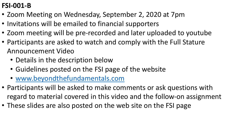# **FSI-001-B**

- Zoom Meeting on Wednesday, September 2, 2020 at 7pm
- Invitations will be emailed to financial supporters
- Zoom meeting will be pre-recorded and later uploaded to youtube
- Participants are asked to watch and comply with the Full Stature Announcement Video
	- Details in the description below
	- Guidelines posted on the FSI page of the website
	- [www.beyondthefundamentals.com](http://www.beyondthefundamentals.com/)
- Participants will be asked to make comments or ask questions with regard to material covered in this video and the follow-on assignment
- These slides are also posted on the web site on the FSI page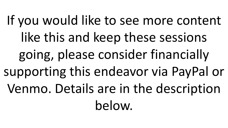If you would like to see more content like this and keep these sessions going, please consider financially supporting this endeavor via PayPal or Venmo. Details are in the description below.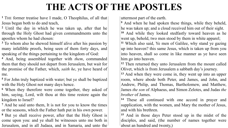# **THE ACTS OF THE APOSTLES**

**<sup>1</sup>** THE former treatise have I made, O Theophilus, of all that Jesus began both to do and teach,

**<sup>2</sup>** Until the day in which he was taken up, after that he through the Holy Ghost had given commandments unto the apostles whom he had chosen:

**<sup>3</sup>** To whom also he shewed himself alive after his passion by many infallible proofs, being seen of them forty days, and speaking of the things pertaining to the kingdom of God:

**<sup>4</sup>** And, being assembled together with *them*, commanded them that they should not depart from Jerusalem, but wait for the promise of the Father, which, *saith he*, ye have heard of me.

**<sup>5</sup>** For John truly baptized with water; but ye shall be baptized with the Holy Ghost not many days hence.

**<sup>6</sup>** When they therefore were come together, they asked of him, saying, Lord, wilt thou at this time restore again the kingdom to Israel?

**<sup>7</sup>** And he said unto them, It is not for you to know the times or the seasons, which the Father hath put in his own power.

**<sup>8</sup>** But ye shall receive power, after that the Holy Ghost is come upon you: and ye shall be witnesses unto me both in Jerusalem, and in all Judaea, and in Samaria, and unto the uttermost part of the earth.

**<sup>9</sup>** And when he had spoken these things, while they beheld, he was taken up; and a cloud received him out of their sight. **<sup>10</sup>** And while they looked stedfastly toward heaven as he went up, behold, two men stood by them in white apparel; **<sup>11</sup>** Which also said, Ye men of Galilee, why stand ye gazing up into heaven? this same Jesus, which is taken up from you into heaven, shall so come in like manner as ye have seen him go into heaven.

**<sup>12</sup>** Then returned they unto Jerusalem from the mount called Olivet, which is from Jerusalem a sabbath day's journey.

**<sup>13</sup>** And when they were come in, they went up into an upper room, where abode both Peter, and James, and John, and Andrew, Philip, and Thomas, Bartholomew, and Matthew, James *the son* of Alphaeus, and Simon Zelotes, and Judas *the brother* of James.

**<sup>14</sup>** These all continued with one accord in prayer and supplication, with the women, and Mary the mother of Jesus, and with his brethren.

**<sup>15</sup>** And in those days Peter stood up in the midst of the disciples, and said, (the number of names together were about an hundred and twenty,)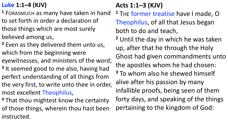# **Luke 1:1–4 (KJV)**

- **<sup>1</sup>** FORASMUCH as many have taken in hand to set forth in order a declaration of those things which are most surely believed among us,
- **<sup>2</sup>** Even as they delivered them unto us, which from the beginning were eyewitnesses, and ministers of the word;
- **<sup>3</sup>** It seemed good to me also, having had perfect understanding of all things from the very first, to write unto thee in order, most excellent Theophilus,
- **<sup>4</sup>** That thou mightest know the certainty of those things, wherein thou hast been instructed.

# **Acts 1:1–3 (KJV)**

- **<sup>1</sup>** THE former treatise have I made, O Theophilus, of all that Jesus began both to do and teach,
- **<sup>2</sup>** Until the day in which he was taken up, after that he through the Holy Ghost had given commandments unto the apostles whom he had chosen: **<sup>3</sup>** To whom also he shewed himself alive after his passion by many infallible proofs, being seen of them forty days, and speaking of the things pertaining to the kingdom of God: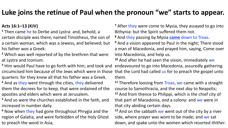# **Luke joins the retinue of Paul when the pronoun "we" starts to appear.**

#### **Acts 16:1–13 (KJV)**

**<sup>1</sup>** Then came he to Derbe and Lystra: and, behold, a certain disciple was there, named Timotheus, the son of a certain woman, which was a Jewess, and believed; but his father *was* a Greek:

**<sup>2</sup>** Which was well reported of by the brethren that were at Lystra and Iconium.

**<sup>3</sup>** Him would Paul have to go forth with him; and took and circumcised him because of the Jews which were in those that the Lord had called us for to preach the gospel unto quarters: for they knew all that his father was a Greek.

**<sup>4</sup>** And as they went through the cities, they delivered them the decrees for to keep, that were ordained of the apostles and elders which were at Jerusalem.

**<sup>5</sup>** And so were the churches established in the faith, and increased in number daily.

**<sup>6</sup>** Now when they had gone throughout Phrygia and the region of Galatia, and were forbidden of the Holy Ghost to preach the word in Asia,

**<sup>7</sup>** After they were come to Mysia, they assayed to go into Bithynia: but the Spirit suffered them not.

**<sup>8</sup>** And they passing by Mysia **came** down to Troas.

**<sup>9</sup>** And a vision appeared to Paul in the night; There stood a man of Macedonia, and prayed him, saying, Come over into Macedonia, and help us.

**<sup>10</sup>** And after he had seen the vision, immediately we endeavoured to go into Macedonia, assuredly gathering them.

**<sup>11</sup>** Therefore loosing from Troas, we came with a straight course to Samothracia, and the next *day* to Neapolis;

**<sup>12</sup>** And from thence to Philippi, which is the chief city of that part of Macedonia, *and* a colony: and we were in that city abiding certain days.

**<sup>13</sup>** And on the sabbath we went out of the city by a river side, where prayer was wont to be made; and we sat down, and spake unto the women which resorted *thither*.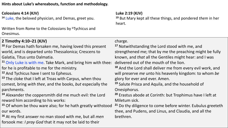#### **Hints about Luke's whereabouts, function and methodology.**

#### **Colossians 4:14 (KJV)**

**<sup>14</sup>** Luke, the beloved physician, and Demas, greet you.

Written from Rome to the Colossians by <sup>b</sup>Tychicus and Onesimus.

#### **Luke 2:19 (KJV)**

**<sup>19</sup>** But Mary kept all these things, and pondered *them* in her heart.

#### **2 Timothy 4:10–21 (KJV)**

**<sup>10</sup>** For Demas hath forsaken me, having loved this present world, and is departed unto Thessalonica; Crescens to Galatia, Titus unto Dalmatia.

**<sup>11</sup>** Only Luke is with me. Take Mark, and bring him with thee: for he is profitable to me for the ministry.

**<sup>12</sup>** And Tychicus have I sent to Ephesus.

**<sup>13</sup>** The cloke that I left at Troas with Carpus, when thou comest, bring *with thee*, and the books, *but* especially the parchments.

**<sup>14</sup>** Alexander the coppersmith did me much evil: the Lord reward him according to his works:

**<sup>15</sup>** Of whom be thou ware also; for he hath greatly withstood our words.

**<sup>16</sup>** At my first answer no man stood with me, but all *men* forsook me: *I pray God* that it may not be laid to their

#### charge.

**<sup>17</sup>** Notwithstanding the Lord stood with me, and strengthened me; that by me the preaching might be fully known, and *that* all the Gentiles might hear: and I was delivered out of the mouth of the lion.

**<sup>18</sup>** And the Lord shall deliver me from every evil work, and will preserve *me* unto his heavenly kingdom: to whom *be* glory for ever and ever. Amen.

**<sup>19</sup>** Salute Prisca and Aquila, and the household of

Onesiphorus.

**<sup>20</sup>** Erastus abode at Corinth: but Trophimus have I left at Miletum sick.

**<sup>21</sup>** Do thy diligence to come before winter. Eubulus greeteth thee, and Pudens, and Linus, and Claudia, and all the brethren.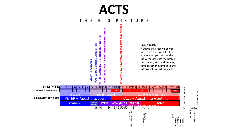# **ACTS** T H E B I G P I C T U R E **Acts 1:8 (KJV)**



**SAMARIA SYRIA ASIA MINOR EUROPE ROME** 36 40 44 48 49 50 52 54

**JERUSALEM JUDAEA/**<br>SAMARIA

**PRIMARY SPEAKER**

1&2 Thessalonians<br>Galatians 1&2 Thessalonians Galatians

1&2 Corinthians Romans<br>1&2 Corinthians

55 57

Luke ?

Philemon

8 But ye shall receive power,

Ephesus, Colossians, Philippians, 652 Timothy

70Fall of Jerusalem

Fall of Jerusalem

66Death of Paul?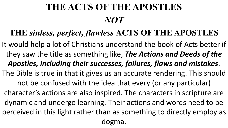# **THE ACTS OF THE APOSTLES** *NOT*

# **THE** *sinless, perfect, flawless* **ACTS OF THE APOSTLES**

It would help a lot of Christians understand the book of Acts better if they saw the title as something like, *The Actions and Deeds of the Apostles, including their successes, failures, flaws and mistakes*. The Bible is true in that it gives us an accurate rendering. This should not be confused with the idea that every (or any particular) character's actions are also inspired. The characters in scripture are dynamic and undergo learning. Their actions and words need to be perceived in this light rather than as something to directly employ as dogma.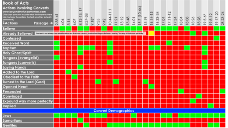| <b>Book of Acts</b><br><b>Actions Involving Converts</b><br>www.beyondthefundamentals.com<br>This chart does not include what the heateres were<br>loid, but only the actions the text says they actually<br>performed.)<br><b>IActions</b><br>Passage → | 2:38-41 | 4:04 | $\overline{\omega}$ | 6:07 | 8:12 | 8<br>8:37 | $rac{8}{5}$ | 9:35<br>9:42 | $\overline{a}$<br>$=$<br>$\overline{ }$<br>10:44 | 11:2 | 13:12                       | 3:48 | $-401$ | 15:7 | 15:19 | 6:14 | 16:33 | 17:04 | $\overline{\mathbf{r}}$<br>1771 | 7:34 | 18:04 | 18:08 | 18:26 | 18:28 | $19:5-6$ | $19:8-1$ | ġ<br>19:17 | 28:23 |
|----------------------------------------------------------------------------------------------------------------------------------------------------------------------------------------------------------------------------------------------------------|---------|------|---------------------|------|------|-----------|-------------|--------------|--------------------------------------------------|------|-----------------------------|------|--------|------|-------|------|-------|-------|---------------------------------|------|-------|-------|-------|-------|----------|----------|------------|-------|
| <b>Believe</b>                                                                                                                                                                                                                                           |         |      |                     |      |      |           |             |              |                                                  |      |                             |      |        |      |       |      |       |       |                                 |      |       |       |       |       |          |          |            |       |
| <b>Already Believed</b><br>The text is not always clear whother these are first time converts, or whether they are believers hearing "the way of God more perfectly."                                                                                    |         |      |                     |      |      |           |             |              |                                                  |      |                             |      |        |      |       |      |       |       |                                 |      |       |       |       |       |          |          |            |       |
| Confessed                                                                                                                                                                                                                                                |         |      |                     |      |      |           |             |              |                                                  |      |                             |      |        |      |       |      |       |       |                                 |      |       |       |       |       |          |          |            |       |
| <b>Received Word</b>                                                                                                                                                                                                                                     |         |      |                     |      |      |           |             |              |                                                  |      |                             |      |        |      |       |      |       |       |                                 |      |       |       |       |       |          |          |            |       |
| <b>Baptism</b>                                                                                                                                                                                                                                           |         |      |                     |      |      |           |             |              |                                                  |      |                             |      |        |      |       |      |       |       |                                 |      |       |       |       |       |          |          |            |       |
| <b>Holy Ghost/Spirit</b>                                                                                                                                                                                                                                 |         |      |                     |      |      |           |             |              |                                                  |      |                             |      |        |      |       |      |       |       |                                 |      |       |       |       |       |          |          |            |       |
| <b>Tongues (evangelist)</b>                                                                                                                                                                                                                              |         |      |                     |      |      |           |             |              |                                                  |      |                             |      |        |      |       |      |       |       |                                 |      |       |       |       |       |          |          |            |       |
| <b>Tongues (converts)</b>                                                                                                                                                                                                                                |         |      |                     |      |      |           |             |              |                                                  |      |                             |      |        |      |       |      |       |       |                                 |      |       |       |       |       |          |          |            |       |
| <b>Laying Hands</b>                                                                                                                                                                                                                                      |         |      |                     |      |      |           |             |              |                                                  |      |                             |      |        |      |       |      |       |       |                                 |      |       |       |       |       |          |          |            |       |
| Added To the Lord                                                                                                                                                                                                                                        |         |      |                     |      |      |           |             |              |                                                  |      |                             |      |        |      |       |      |       |       |                                 |      |       |       |       |       |          |          |            |       |
| Obedient to the Faith                                                                                                                                                                                                                                    |         |      |                     |      |      |           |             |              |                                                  |      |                             |      |        |      |       |      |       |       |                                 |      |       |       |       |       |          |          |            |       |
| Turned to the Lord (God)                                                                                                                                                                                                                                 |         |      |                     |      |      |           |             |              |                                                  |      |                             |      |        |      |       |      |       |       |                                 |      |       |       |       |       |          |          |            |       |
| <b>Opened Heart</b>                                                                                                                                                                                                                                      |         |      |                     |      |      |           |             |              |                                                  |      |                             |      |        |      |       |      |       |       |                                 |      |       |       |       |       |          |          |            |       |
| Persuaded                                                                                                                                                                                                                                                |         |      |                     |      |      |           |             |              |                                                  |      |                             |      |        |      |       |      |       |       |                                 |      |       |       |       |       |          |          |            |       |
| Convinced                                                                                                                                                                                                                                                |         |      |                     |      |      |           |             |              |                                                  |      |                             |      |        |      |       |      |       |       |                                 |      |       |       |       |       |          |          |            |       |
| <b>Expound way more perfectly</b>                                                                                                                                                                                                                        |         |      |                     |      |      |           |             |              |                                                  |      |                             |      |        |      |       |      |       |       |                                 |      |       |       |       |       |          |          |            |       |
| <b>Implied</b>                                                                                                                                                                                                                                           |         |      |                     |      |      |           |             |              |                                                  |      |                             |      |        |      |       |      |       |       |                                 |      |       |       |       |       |          |          |            |       |
|                                                                                                                                                                                                                                                          |         |      |                     |      |      |           |             |              |                                                  |      | <b>Convert Demographics</b> |      |        |      |       |      |       |       |                                 |      |       |       |       |       |          |          |            |       |
| Jews                                                                                                                                                                                                                                                     |         |      |                     |      |      |           |             |              |                                                  |      |                             |      |        |      |       |      |       |       |                                 |      |       |       |       |       |          |          |            |       |
| Samaritans                                                                                                                                                                                                                                               |         |      |                     |      |      |           |             |              |                                                  |      |                             |      |        |      |       |      |       |       |                                 |      |       |       |       |       |          |          |            |       |
| <b>Gentiles</b>                                                                                                                                                                                                                                          |         |      |                     |      |      |           |             |              |                                                  |      |                             |      |        |      |       |      |       |       |                                 |      |       |       |       |       |          |          |            |       |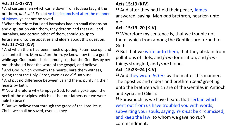#### **Acts 15:1–2 (KJV)**

**<sup>1</sup>** And certain men which came down from Judaea taught the brethren, *and said*, Except ye be circumcised after the manner of Moses, ye cannot be saved.

**<sup>2</sup>** When therefore Paul and Barnabas had no small dissension and disputation with them, they determined that Paul and Barnabas, and certain other of them, should go up to Jerusalem unto the apostles and elders about this question.

#### **Acts 15:7–11 (KJV)**

**<sup>7</sup>** And when there had been much disputing, Peter rose up, and said unto them, Men *and* brethren, ye know how that a good while ago God made choice among us, that the Gentiles by my mouth should hear the word of the gospel, and believe.

**<sup>8</sup>** And God, which knoweth the hearts, bare them witness, giving them the Holy Ghost, even as *he did* unto us;

**<sup>9</sup>** And put no difference between us and them, purifying their hearts by faith.

**<sup>10</sup>** Now therefore why tempt ye God, to put a yoke upon the neck of the disciples, which neither our fathers nor we were able to bear?

**<sup>11</sup>** But we believe that through the grace of the Lord Jesus Christ we shall be saved, even as they.

#### **Acts 15:13 (KJV)**

**<sup>13</sup>** And after they had held their peace, James answered, saying, Men *and* brethren, hearken unto me:

#### **Acts 15:19–20 (KJV)**

**<sup>19</sup>** Wherefore my sentence is, that we trouble not them, which from among the Gentiles are turned to God:

**<sup>20</sup>** But that we write unto them, that they abstain from pollutions of idols, and *from* fornication, and *from* things strangled, and *from* blood.

#### **Acts 15:23–24 (KJV)**

**<sup>23</sup>** And they wrote *letters* by them after this manner; The apostles and elders and brethren *send* greeting unto the brethren which are of the Gentiles in Antioch and Syria and Cilicia:

**<sup>24</sup>** Forasmuch as we have heard, that certain which went out from us have troubled you with words, subverting your souls, saying, *Ye must* be circumcised, and keep the law: to whom we gave no *such* commandment: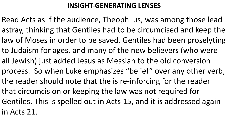# **INSIGHT-GENERATING LENSES**

Read Acts as if the audience, Theophilus, was among those lead astray, thinking that Gentiles had to be circumcised and keep the law of Moses in order to be saved. Gentiles had been proselyting to Judaism for ages, and many of the new believers (who were all Jewish) just added Jesus as Messiah to the old conversion process. So when Luke emphasizes "belief" over any other verb, the reader should note that the is re-inforcing for the reader that circumcision or keeping the law was not required for Gentiles. This is spelled out in Acts 15, and it is addressed again in Acts 21.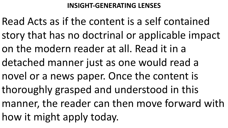# **INSIGHT-GENERATING LENSES**

Read Acts as if the content is a self contained story that has no doctrinal or applicable impact on the modern reader at all. Read it in a detached manner just as one would read a novel or a news paper. Once the content is thoroughly grasped and understood in this manner, the reader can then move forward with how it might apply today.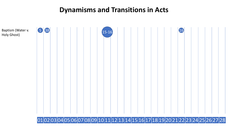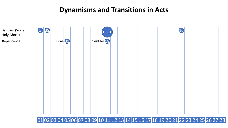

#### 01 02 03 04 05 06 07 08 09 10 11 12 13 14 15 16 17 18 19 20 21 22 23 24 25 26 27 28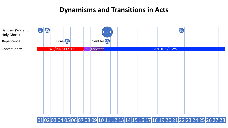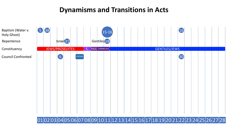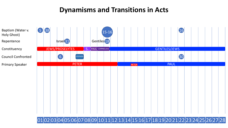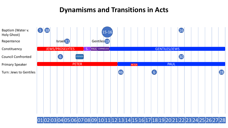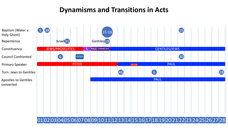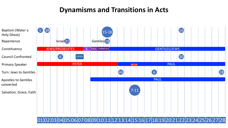

01 02 03 04 05 06 07 08 09 10 11 12 13 14 15 16 17 18 19 20 21 22 23 24 25 26 27 28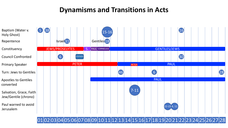

01 02 03 04 05 06 07 08 09 10 11 12 13 14 15 16 17 18 19 20 21 22 23 24 25 26 27 28